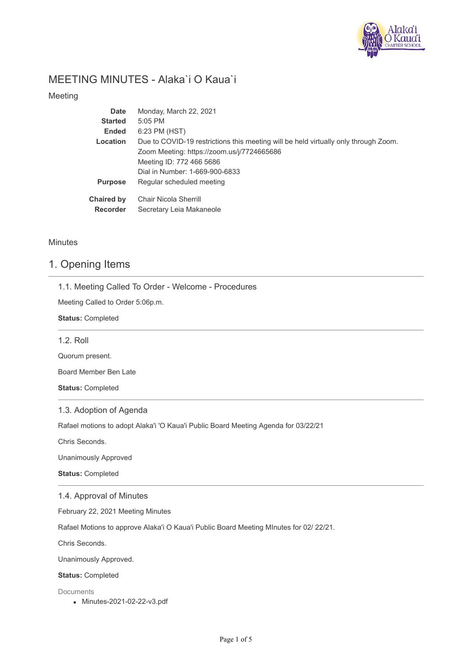

# MEETING MINUTES - Alaka`i O Kaua`i

Meeting

| Monday, March 22, 2021                                                              |
|-------------------------------------------------------------------------------------|
| 5:05 PM                                                                             |
| 6:23 PM (HST)                                                                       |
| Due to COVID-19 restrictions this meeting will be held virtually only through Zoom. |
| Zoom Meeting: https://zoom.us/j/7724665686                                          |
| Meeting ID: 772 466 5686                                                            |
| Dial in Number: 1-669-900-6833                                                      |
| Regular scheduled meeting                                                           |
| Chair Nicola Sherrill                                                               |
| Secretary Leia Makaneole                                                            |
|                                                                                     |

### **Minutes**

### 1. Opening Items

1.1. Meeting Called To Order - Welcome - Procedures

Meeting Called to Order 5:06p.m.

**Status:** Completed

| 1.2. Roll       |  |  |
|-----------------|--|--|
| Quorum present. |  |  |

Board Member Ben Late

**Status:** Completed

### 1.3. Adoption of Agenda

Rafael motions to adopt Alaka'i 'O Kaua'i Public Board Meeting Agenda for 03/22/21

Chris Seconds.

Unanimously Approved

**Status:** Completed

### 1.4. Approval of Minutes

February 22, 2021 Meeting Minutes

Rafael Motions to approve Alaka'i O Kaua'i Public Board Meeting MInutes for 02/ 22/21.

Chris Seconds.

Unanimously Approved.

#### **Status:** Completed

Documents

Minutes-2021-02-22-v3.pdf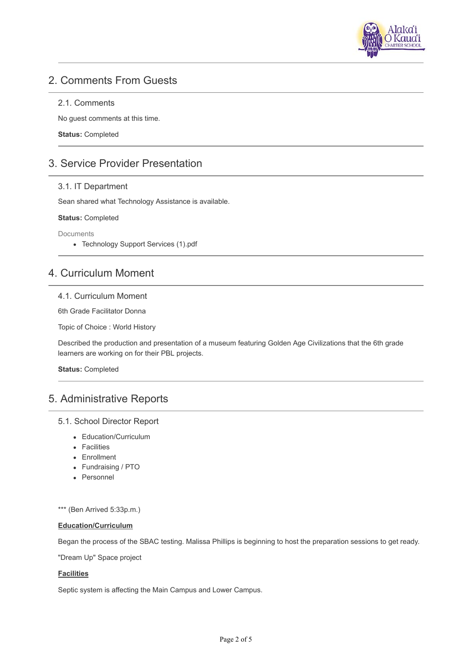

# 2. Comments From Guests

#### 2.1. Comments

No guest comments at this time.

**Status:** Completed

# 3. Service Provider Presentation

#### 3.1. IT Department

Sean shared what Technology Assistance is available.

#### **Status:** Completed

Documents

Technology Support Services (1).pdf

# 4. Curriculum Moment

#### 4.1. Curriculum Moment

6th Grade Facilitator Donna

Topic of Choice : World History

Described the production and presentation of a museum featuring Golden Age Civilizations that the 6th grade learners are working on for their PBL projects.

**Status:** Completed

# 5. Administrative Reports

#### 5.1. School Director Report

- Education/Curriculum
- Facilities
- Enrollment
- Fundraising / PTO
- Personnel

\*\*\* (Ben Arrived 5:33p.m.)

### **Education/Curriculum**

Began the process of the SBAC testing. Malissa Phillips is beginning to host the preparation sessions to get ready.

"Dream Up" Space project

#### **Facilities**

Septic system is affecting the Main Campus and Lower Campus.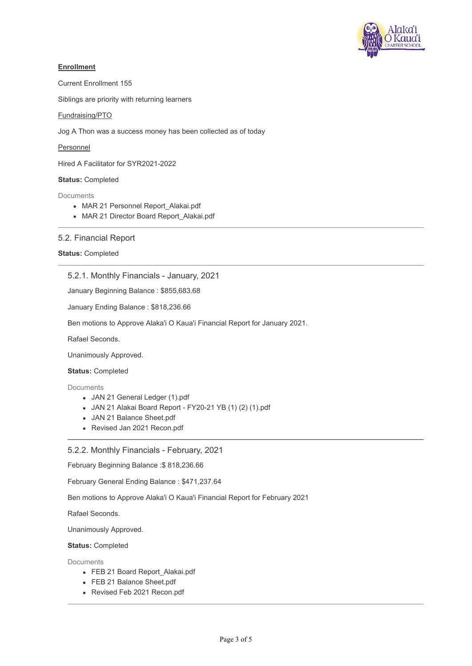

#### **Enrollment**

Current Enrollment 155

Siblings are priority with returning learners

#### Fundraising/PTO

Jog A Thon was a success money has been collected as of today

Personnel

Hired A Facilitator for SYR2021-2022

### **Status:** Completed

Documents

- MAR 21 Personnel Report Alakai.pdf
- MAR 21 Director Board Report Alakai.pdf

### 5.2. Financial Report

#### **Status:** Completed

#### 5.2.1. Monthly Financials - January, 2021

January Beginning Balance : \$855,683.68

January Ending Balance : \$818,236.66

Ben motions to Approve Alaka'i O Kaua'i Financial Report for January 2021.

Rafael Seconds.

Unanimously Approved.

#### **Status:** Completed

Documents

- JAN 21 General Ledger (1).pdf
- JAN 21 Alakai Board Report FY20-21 YB (1) (2) (1).pdf
- JAN 21 Balance Sheet.pdf
- Revised Jan 2021 Recon.pdf

#### 5.2.2. Monthly Financials - February, 2021

February Beginning Balance :\$ 818,236.66

February General Ending Balance : \$471,237.64

Ben motions to Approve Alaka'i O Kaua'i Financial Report for February 2021

Rafael Seconds.

Unanimously Approved.

**Status:** Completed

**Documents** 

- FEB 21 Board Report\_Alakai.pdf
- FEB 21 Balance Sheet.pdf
- Revised Feb 2021 Recon.pdf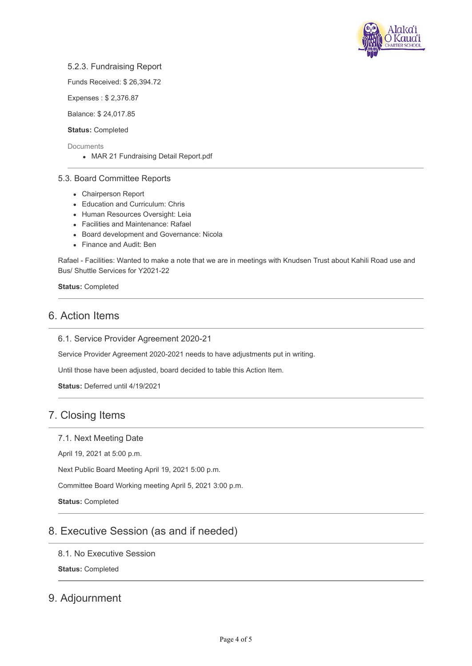

### 5.2.3. Fundraising Report

Funds Received: \$ 26,394.72

Expenses : \$ 2,376.87

Balance: \$ 24,017.85

**Status:** Completed

**Documents** 

MAR 21 Fundraising Detail Report.pdf

#### 5.3. Board Committee Reports

- Chairperson Report
- Education and Curriculum: Chris
- Human Resources Oversight: Leia
- Facilities and Maintenance: Rafael
- Board development and Governance: Nicola
- Finance and Audit: Ben

Rafael - Facilities: Wanted to make a note that we are in meetings with Knudsen Trust about Kahili Road use and Bus/ Shuttle Services for Y2021-22

**Status:** Completed

# 6. Action Items

6.1. Service Provider Agreement 2020-21

Service Provider Agreement 2020-2021 needs to have adjustments put in writing.

Until those have been adjusted, board decided to table this Action Item.

**Status:** Deferred until 4/19/2021

# 7. Closing Items

### 7.1. Next Meeting Date

April 19, 2021 at 5:00 p.m.

Next Public Board Meeting April 19, 2021 5:00 p.m.

Committee Board Working meeting April 5, 2021 3:00 p.m.

**Status:** Completed

# 8. Executive Session (as and if needed)

8.1. No Executive Session

**Status:** Completed

# 9. Adjournment